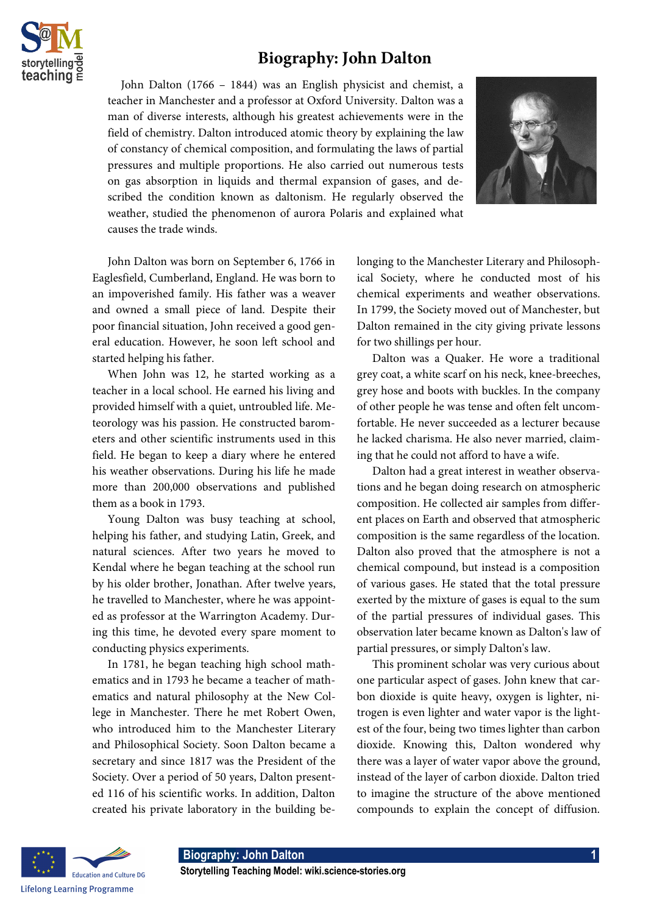

## **Biography: John Dalton**

 John Dalton (1766 – 1844) was an English physicist and chemist, a teacher in Manchester and a professor at Oxford University. Dalton was a man of diverse interests, although his greatest achievements were in the field of chemistry. Dalton introduced atomic theory by explaining the law of constancy of chemical composition, and formulating the laws of partial pressures and multiple proportions. He also carried out numerous tests on gas absorption in liquids and thermal expansion of gases, and described the condition known as daltonism. He regularly observed the weather, studied the phenomenon of aurora Polaris and explained what causes the trade winds.



John Dalton was born on September 6, 1766 in Eaglesfield, Cumberland, England. He was born to an impoverished family. His father was a weaver and owned a small piece of land. Despite their poor financial situation, John received a good general education. However, he soon left school and started helping his father.

When John was 12, he started working as a teacher in a local school. He earned his living and provided himself with a quiet, untroubled life. Meteorology was his passion. He constructed barometers and other scientific instruments used in this field. He began to keep a diary where he entered his weather observations. During his life he made more than 200,000 observations and published them as a book in 1793.

Young Dalton was busy teaching at school, helping his father, and studying Latin, Greek, and natural sciences. After two years he moved to Kendal where he began teaching at the school run by his older brother, Jonathan. After twelve years, he travelled to Manchester, where he was appointed as professor at the Warrington Academy. During this time, he devoted every spare moment to conducting physics experiments.

In 1781, he began teaching high school mathematics and in 1793 he became a teacher of mathematics and natural philosophy at the New College in Manchester. There he met Robert Owen, who introduced him to the Manchester Literary and Philosophical Society. Soon Dalton became a secretary and since 1817 was the President of the Society. Over a period of 50 years, Dalton presented 116 of his scientific works. In addition, Dalton created his private laboratory in the building belonging to the Manchester Literary and Philosophical Society, where he conducted most of his chemical experiments and weather observations. In 1799, the Society moved out of Manchester, but Dalton remained in the city giving private lessons for two shillings per hour.

Dalton was a Quaker. He wore a traditional grey coat, a white scarf on his neck, knee-breeches, grey hose and boots with buckles. In the company of other people he was tense and often felt uncomfortable. He never succeeded as a lecturer because he lacked charisma. He also never married, claiming that he could not afford to have a wife.

Dalton had a great interest in weather observations and he began doing research on atmospheric composition. He collected air samples from different places on Earth and observed that atmospheric composition is the same regardless of the location. Dalton also proved that the atmosphere is not a chemical compound, but instead is a composition of various gases. He stated that the total pressure exerted by the mixture of gases is equal to the sum of the partial pressures of individual gases. This observation later became known as Dalton's law of partial pressures, or simply Dalton's law.

This prominent scholar was very curious about one particular aspect of gases. John knew that carbon dioxide is quite heavy, oxygen is lighter, nitrogen is even lighter and water vapor is the lightest of the four, being two times lighter than carbon dioxide. Knowing this, Dalton wondered why there was a layer of water vapor above the ground, instead of the layer of carbon dioxide. Dalton tried to imagine the structure of the above mentioned compounds to explain the concept of diffusion.